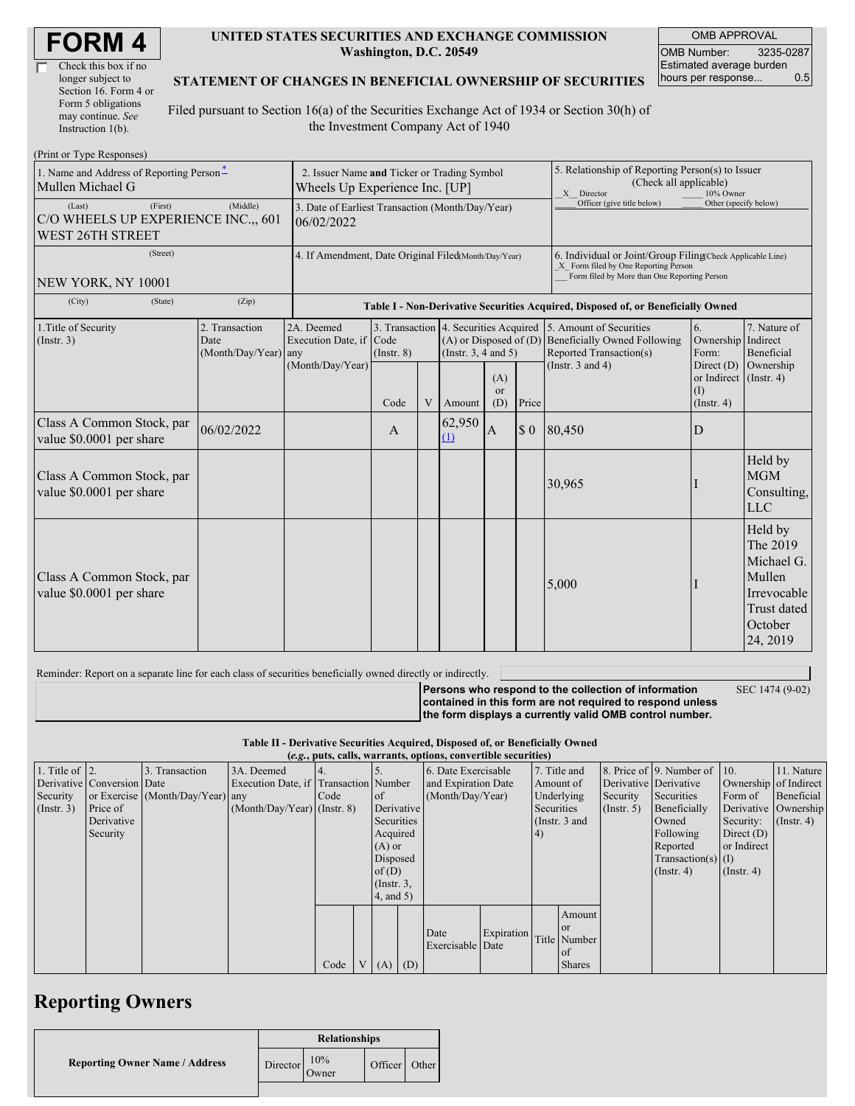| <b>FORM4</b> |
|--------------|
|--------------|

| Check this box if no  |
|-----------------------|
| longer subject to     |
| Section 16. Form 4 or |
| Form 5 obligations    |
| may continue. See     |
| Instruction $1(b)$ .  |

#### **UNITED STATES SECURITIES AND EXCHANGE COMMISSION Washington, D.C. 20549**

OMB APPROVAL OMB Number: 3235-0287 Estimated average burden hours per response... 0.5

### **STATEMENT OF CHANGES IN BENEFICIAL OWNERSHIP OF SECURITIES**

Filed pursuant to Section 16(a) of the Securities Exchange Act of 1934 or Section 30(h) of the Investment Company Act of 1940

| (Print or Type Responses)                                                    |                                                                               |                                                      |                                                                                  |   |                                                                                                 |                                                                                                                                                    |                       |                                                                                           |                                                         |                                                                                                         |  |
|------------------------------------------------------------------------------|-------------------------------------------------------------------------------|------------------------------------------------------|----------------------------------------------------------------------------------|---|-------------------------------------------------------------------------------------------------|----------------------------------------------------------------------------------------------------------------------------------------------------|-----------------------|-------------------------------------------------------------------------------------------|---------------------------------------------------------|---------------------------------------------------------------------------------------------------------|--|
| 1. Name and Address of Reporting Person-<br>Mullen Michael G                 | 2. Issuer Name and Ticker or Trading Symbol<br>Wheels Up Experience Inc. [UP] |                                                      |                                                                                  |   |                                                                                                 | 5. Relationship of Reporting Person(s) to Issuer<br>(Check all applicable)<br>X Director<br>10% Owner                                              |                       |                                                                                           |                                                         |                                                                                                         |  |
| (First)<br>(Last)<br>C/O WHEELS UP EXPERIENCE INC.,, 601<br>WEST 26TH STREET | 3. Date of Earliest Transaction (Month/Day/Year)<br>06/02/2022                |                                                      |                                                                                  |   |                                                                                                 | Officer (give title below)                                                                                                                         | Other (specify below) |                                                                                           |                                                         |                                                                                                         |  |
| (Street)<br>NEW YORK, NY 10001                                               | 4. If Amendment, Date Original Filed(Month/Day/Year)                          |                                                      |                                                                                  |   |                                                                                                 | 6. Individual or Joint/Group Filing(Check Applicable Line)<br>X Form filed by One Reporting Person<br>Form filed by More than One Reporting Person |                       |                                                                                           |                                                         |                                                                                                         |  |
| (City)<br>(State)                                                            | (Zip)                                                                         |                                                      | Table I - Non-Derivative Securities Acquired, Disposed of, or Beneficially Owned |   |                                                                                                 |                                                                                                                                                    |                       |                                                                                           |                                                         |                                                                                                         |  |
| 1. Title of Security<br>(Insert. 3)                                          | 2. Transaction<br>Date<br>(Month/Day/Year) any                                | 2A. Deemed<br>Execution Date, if<br>(Month/Day/Year) | Code<br>$($ Instr. $8)$                                                          |   | 3. Transaction 4. Securities Acquired<br>$(A)$ or Disposed of $(D)$<br>(Instr. $3, 4$ and $5$ ) |                                                                                                                                                    |                       | 5. Amount of Securities<br><b>Beneficially Owned Following</b><br>Reported Transaction(s) | 6.<br>Ownership Indirect<br>Form:                       | 7. Nature of<br>Beneficial                                                                              |  |
|                                                                              |                                                                               |                                                      | Code                                                                             | V | Amount                                                                                          | (A)<br><sub>or</sub><br>(D)                                                                                                                        | Price                 | (Instr. $3$ and $4$ )                                                                     | or Indirect $($ Instr. 4 $)$<br>(I)<br>$($ Instr. 4 $)$ | Direct $(D)$ Ownership                                                                                  |  |
| Class A Common Stock, par<br>value \$0.0001 per share                        | 06/02/2022                                                                    |                                                      | $\mathbf{A}$                                                                     |   | 62,950<br>(1)                                                                                   | $\mathbf{A}$                                                                                                                                       | \$0                   | 80,450                                                                                    | D                                                       |                                                                                                         |  |
| Class A Common Stock, par<br>value \$0.0001 per share                        |                                                                               |                                                      |                                                                                  |   |                                                                                                 |                                                                                                                                                    |                       | 30,965                                                                                    |                                                         | Held by<br><b>MGM</b><br>Consulting,<br><b>LLC</b>                                                      |  |
| Class A Common Stock, par<br>value \$0.0001 per share                        |                                                                               |                                                      |                                                                                  |   |                                                                                                 |                                                                                                                                                    |                       | 5,000                                                                                     |                                                         | Held by<br>The 2019<br>Michael G.<br>Mullen<br>Irrevocable<br><b>Trust dated</b><br>October<br>24, 2019 |  |

Reminder: Report on a separate line for each class of securities beneficially owned directly or indirectly.

**Persons who respond to the collection of information contained in this form are not required to respond unless the form displays a currently valid OMB control number.** SEC 1474 (9-02)

#### **Table II - Derivative Securities Acquired, Disposed of, or Beneficially Owned (***e.g.***, puts, calls, warrants, options, convertible securities)**

| (e.g., puts, cans, warrants, options, convertible securities |                            |                                  |                                       |      |  |                  |            |                     |            |            |                  |                       |                              |                       |                  |
|--------------------------------------------------------------|----------------------------|----------------------------------|---------------------------------------|------|--|------------------|------------|---------------------|------------|------------|------------------|-----------------------|------------------------------|-----------------------|------------------|
| 1. Title of $\vert$ 2.                                       |                            | 3. Transaction                   | 3A. Deemed                            |      |  |                  |            | 6. Date Exercisable |            |            | 7. Title and     |                       | 8. Price of 9. Number of 10. |                       | 11. Nature       |
|                                                              | Derivative Conversion Date |                                  | Execution Date, if Transaction Number |      |  |                  |            | and Expiration Date |            | Amount of  |                  | Derivative Derivative |                              | Ownership of Indirect |                  |
| Security                                                     |                            | or Exercise (Month/Day/Year) any |                                       | Code |  | of lot           |            | (Month/Day/Year)    |            | Underlying |                  | Security              | Securities                   | Form of               | Beneficial       |
| (Insert. 3)                                                  | Price of                   |                                  | $(Month/Day/Year)$ (Instr. 8)         |      |  |                  | Derivative |                     | Securities |            | $($ Instr. 5 $)$ | Beneficially          |                              | Derivative Ownership  |                  |
|                                                              | Derivative                 |                                  |                                       |      |  | Securities       |            |                     |            |            | (Instr. $3$ and  |                       | Owned                        | Security:             | $($ Instr. 4 $)$ |
|                                                              | Security                   |                                  |                                       |      |  | Acquired         |            |                     |            | (4)        |                  |                       | Following                    | Direct $(D)$          |                  |
|                                                              |                            |                                  |                                       |      |  | $(A)$ or         |            |                     |            |            |                  |                       | Reported                     | or Indirect           |                  |
|                                                              |                            |                                  |                                       |      |  | Disposed         |            |                     |            |            |                  |                       | $Transaction(s)$ (I)         |                       |                  |
|                                                              |                            |                                  |                                       |      |  | of $(D)$         |            |                     |            |            |                  |                       | $($ Instr. 4 $)$             | $($ Instr. 4 $)$      |                  |
|                                                              |                            |                                  |                                       |      |  | $($ Instr. $3$ , |            |                     |            |            |                  |                       |                              |                       |                  |
|                                                              |                            |                                  |                                       |      |  | 4, and 5)        |            |                     |            |            |                  |                       |                              |                       |                  |
|                                                              |                            |                                  |                                       |      |  |                  |            |                     |            |            | Amount           |                       |                              |                       |                  |
|                                                              |                            |                                  |                                       |      |  |                  |            |                     |            |            | or or            |                       |                              |                       |                  |
|                                                              |                            |                                  |                                       |      |  |                  |            | Date                | Expiration |            | Title Number     |                       |                              |                       |                  |
|                                                              |                            |                                  |                                       |      |  |                  |            | Exercisable Date    |            |            | <sub>of</sub>    |                       |                              |                       |                  |
|                                                              |                            |                                  |                                       | Code |  | $V(A)$ (D)       |            |                     |            |            | <b>Shares</b>    |                       |                              |                       |                  |
|                                                              |                            |                                  |                                       |      |  |                  |            |                     |            |            |                  |                       |                              |                       |                  |

## **Reporting Owners**

|                                       | <b>Relationships</b> |              |         |       |  |  |  |
|---------------------------------------|----------------------|--------------|---------|-------|--|--|--|
| <b>Reporting Owner Name / Address</b> | Director             | 10%<br>Owner | Officer | Other |  |  |  |